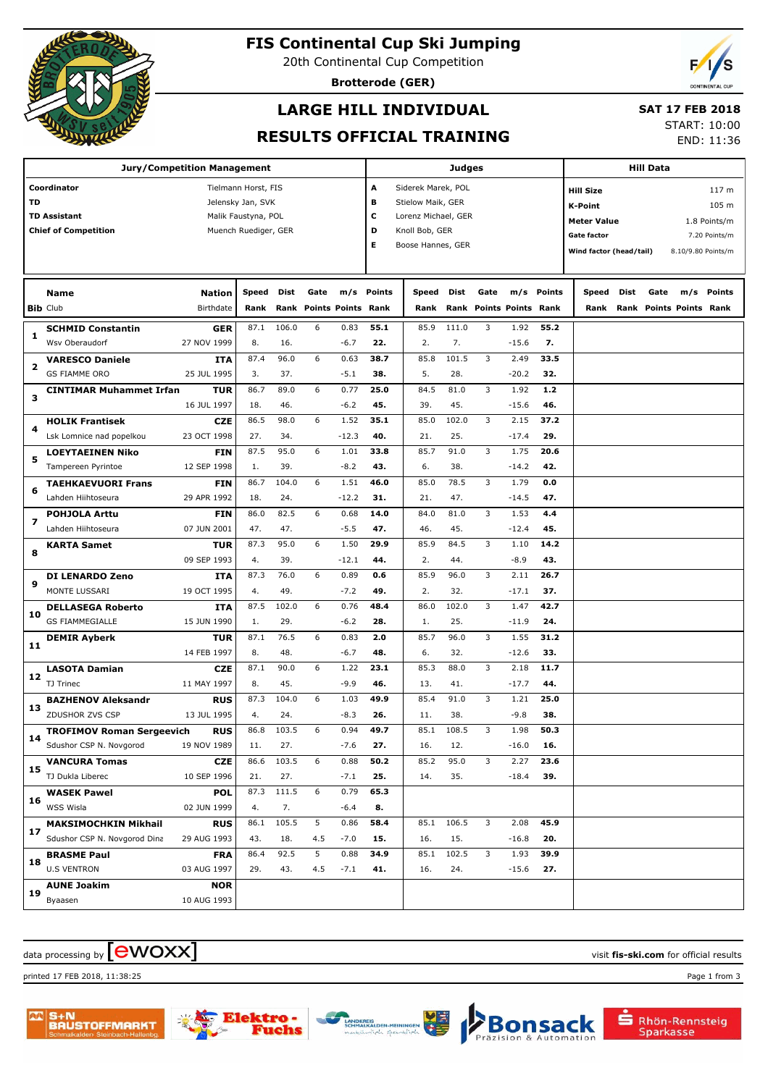

### **FIS Continental Cup Ski Jumping**

20th Continental Cup Competition

**Brotterode (GER)**

### **LARGE HILL INDIVIDUAL**

## **SAT 17 FEB 2018**

**RESULTS OFFICIAL TRAINING**

START: 10:00 END: 11:36

| <b>Jury/Competition Management</b> |                                  |                     |                      |       |                         |         |                     | Judges                                      |       |      |                         |                    |                         | Hill Data |      |                         |               |  |
|------------------------------------|----------------------------------|---------------------|----------------------|-------|-------------------------|---------|---------------------|---------------------------------------------|-------|------|-------------------------|--------------------|-------------------------|-----------|------|-------------------------|---------------|--|
| Coordinator<br>Tielmann Horst, FIS |                                  |                     |                      |       |                         |         |                     | Α<br>Siderek Marek, POL<br><b>Hill Size</b> |       |      |                         |                    |                         |           |      | 117 m                   |               |  |
| TD                                 |                                  | Jelensky Jan, SVK   |                      |       |                         | в       | Stielow Maik, GER   |                                             |       |      |                         | K-Point            |                         |           |      | 105 m                   |               |  |
|                                    | <b>TD Assistant</b>              | Malik Faustyna, POL |                      |       |                         | с       | Lorenz Michael, GER |                                             |       |      |                         | <b>Meter Value</b> |                         |           |      | 1.8 Points/m            |               |  |
|                                    | <b>Chief of Competition</b>      |                     | Muench Ruediger, GER |       |                         |         | D                   | Knoll Bob, GER                              |       |      |                         |                    | <b>Gate factor</b>      |           |      |                         | 7.20 Points/m |  |
|                                    |                                  |                     |                      |       |                         |         | Е                   | Boose Hannes, GER                           |       |      |                         |                    |                         |           |      |                         |               |  |
|                                    |                                  |                     |                      |       |                         |         |                     |                                             |       |      |                         |                    | Wind factor (head/tail) |           |      | 8.10/9.80 Points/m      |               |  |
|                                    |                                  |                     |                      |       |                         |         |                     |                                             |       |      |                         |                    |                         |           |      |                         |               |  |
|                                    | <b>Name</b>                      | <b>Nation</b>       | <b>Speed</b>         | Dist  | Gate                    |         | m/s Points          | Speed                                       | Dist  | Gate | m/s                     | Points             | Speed                   | Dist      | Gate | m/s                     | <b>Points</b> |  |
|                                    | <b>Bib Club</b>                  | Birthdate           | Rank                 |       | Rank Points Points Rank |         |                     | Rank                                        |       |      | Rank Points Points Rank |                    | Rank                    |           |      | Rank Points Points Rank |               |  |
|                                    | <b>SCHMID Constantin</b>         | GER                 | 87.1                 | 106.0 | 6                       | 0.83    | 55.1                | 85.9                                        | 111.0 | 3    | 1.92                    | 55.2               |                         |           |      |                         |               |  |
| 1                                  | Wsv Oberaudorf                   | 27 NOV 1999         | 8.                   | 16.   |                         | $-6.7$  | 22.                 | 2.                                          | 7.    |      | $-15.6$                 | 7.                 |                         |           |      |                         |               |  |
|                                    | <b>VARESCO Daniele</b>           | <b>ITA</b>          | 87.4                 | 96.0  | 6                       | 0.63    | 38.7                | 85.8                                        | 101.5 | 3    | 2.49                    | 33.5               |                         |           |      |                         |               |  |
| 2                                  | <b>GS FIAMME ORO</b>             | 25 JUL 1995         | 3.                   | 37.   |                         | $-5.1$  | 38.                 | 5.                                          | 28.   |      | $-20.2$                 | 32.                |                         |           |      |                         |               |  |
|                                    | CINTIMAR Muhammet Irfan          | <b>TUR</b>          | 86.7                 | 89.0  | 6                       | 0.77    | 25.0                | 84.5                                        | 81.0  | 3    | 1.92                    | $1.2$              |                         |           |      |                         |               |  |
| з                                  |                                  | 16 JUL 1997         | 18.                  | 46.   |                         | $-6.2$  | 45.                 | 39.                                         | 45.   |      | $-15.6$                 | 46.                |                         |           |      |                         |               |  |
|                                    | <b>HOLIK Frantisek</b>           | <b>CZE</b>          | 86.5                 | 98.0  | 6                       | 1.52    | 35.1                | 85.0                                        | 102.0 | 3    | 2.15                    | 37.2               |                         |           |      |                         |               |  |
| 4                                  | Lsk Lomnice nad popelkou         | 23 OCT 1998         | 27.                  | 34.   |                         | $-12.3$ | 40.                 | 21.                                         | 25.   |      | $-17.4$                 | 29.                |                         |           |      |                         |               |  |
|                                    | <b>LOEYTAEINEN Niko</b>          | <b>FIN</b>          | 87.5                 | 95.0  | 6                       | 1.01    | 33.8                | 85.7                                        | 91.0  | 3    | 1.75                    | 20.6               |                         |           |      |                         |               |  |
| 5                                  | Tampereen Pyrintoe               | 12 SEP 1998         | 1.                   | 39.   |                         | $-8.2$  | 43.                 | 6.                                          | 38.   |      | $-14.2$                 | 42.                |                         |           |      |                         |               |  |
|                                    | <b>TAEHKAEVUORI Frans</b>        | <b>FIN</b>          | 86.7                 | 104.0 | 6                       | 1.51    | 46.0                | 85.0                                        | 78.5  | 3    | 1.79                    | 0.0                |                         |           |      |                         |               |  |
| 6                                  | Lahden Hiihtoseura               | 29 APR 1992         | 18.                  | 24.   |                         | $-12.2$ | 31.                 | 21.                                         | 47.   |      | $-14.5$                 | 47.                |                         |           |      |                         |               |  |
|                                    | <b>POHJOLA Arttu</b>             | <b>FIN</b>          | 86.0                 | 82.5  | 6                       | 0.68    | 14.0                | 84.0                                        | 81.0  | 3    | 1.53                    | 4.4                |                         |           |      |                         |               |  |
| 7                                  | Lahden Hiihtoseura               | 07 JUN 2001         | 47.                  | 47.   |                         | $-5.5$  | 47.                 | 46.                                         | 45.   |      | $-12.4$                 | 45.                |                         |           |      |                         |               |  |
|                                    | <b>KARTA Samet</b>               | <b>TUR</b>          | 87.3                 | 95.0  | 6                       | 1.50    | 29.9                | 85.9                                        | 84.5  | 3    | 1.10                    | 14.2               |                         |           |      |                         |               |  |
| 8                                  |                                  | 09 SEP 1993         | 4.                   | 39.   |                         | -12.1   | 44.                 | 2.                                          | 44.   |      | $-8.9$                  | 43.                |                         |           |      |                         |               |  |
|                                    | <b>DI LENARDO Zeno</b>           | <b>ITA</b>          | 87.3                 | 76.0  | 6                       | 0.89    | 0.6                 | 85.9                                        | 96.0  | 3    | 2.11                    | 26.7               |                         |           |      |                         |               |  |
| 9                                  | MONTE LUSSARI                    | 19 OCT 1995         | 4.                   | 49.   |                         | $-7.2$  | 49.                 | 2.                                          | 32.   |      | $-17.1$                 | 37.                |                         |           |      |                         |               |  |
|                                    | <b>DELLASEGA Roberto</b>         | <b>ITA</b>          | 87.5                 | 102.0 | 6                       | 0.76    | 48.4                | 86.0                                        | 102.0 | 3    | 1.47                    | 42.7               |                         |           |      |                         |               |  |
| 10                                 | <b>GS FIAMMEGIALLE</b>           | 15 JUN 1990         | 1.                   | 29.   |                         | $-6.2$  | 28.                 | 1.                                          | 25.   |      | $-11.9$                 | 24.                |                         |           |      |                         |               |  |
|                                    | <b>DEMIR Ayberk</b>              | <b>TUR</b>          | 87.1                 | 76.5  | 6                       | 0.83    | 2.0                 | 85.7                                        | 96.0  | 3    | 1.55                    | 31.2               |                         |           |      |                         |               |  |
| 11                                 |                                  | 14 FEB 1997         | 8.                   | 48.   |                         | $-6.7$  | 48.                 | 6.                                          | 32.   |      | $-12.6$                 | 33.                |                         |           |      |                         |               |  |
|                                    | <b>LASOTA Damian</b>             | <b>CZE</b>          | 87.1                 | 90.0  | 6                       | 1.22    | 23.1                | 85.3                                        | 88.0  | 3    | 2.18                    | 11.7               |                         |           |      |                         |               |  |
| 12                                 | TJ Trinec                        | 11 MAY 1997         | 8.                   | 45.   |                         | $-9.9$  | 46.                 | 13.                                         | 41.   |      | $-17.7$                 | 44.                |                         |           |      |                         |               |  |
|                                    | <b>BAZHENOV Aleksandr</b>        | <b>RUS</b>          | 87.3                 | 104.0 | 6                       | 1.03    | 49.9                | 85.4                                        | 91.0  | 3    | 1.21                    | 25.0               |                         |           |      |                         |               |  |
| 13                                 | ZDUSHOR ZVS CSP                  | 13 JUL 1995         | 4.                   | 24.   |                         | $-8.3$  | 26.                 | 11.                                         | 38.   |      | -9.8                    | 38.                |                         |           |      |                         |               |  |
|                                    | <b>TROFIMOV Roman Sergeevich</b> | <b>RUS</b>          | 86.8                 | 103.5 | 6                       | 0.94    | 49.7                | 85.1                                        | 108.5 | 3    | 1.98                    | 50.3               |                         |           |      |                         |               |  |
| 14                                 | Sdushor CSP N. Novgorod          | 19 NOV 1989         | 11.                  | 27.   |                         | $-7.6$  | 27.                 | 16.                                         | 12.   |      | $-16.0$                 | 16.                |                         |           |      |                         |               |  |
|                                    | <b>VANCURA Tomas</b>             | <b>CZE</b>          | 86.6                 | 103.5 | 6                       | 0.88    | 50.2                | 85.2                                        | 95.0  | 3    | 2.27                    | 23.6               |                         |           |      |                         |               |  |
| 15                                 | TJ Dukla Liberec                 | 10 SEP 1996         | 21.                  | 27.   |                         | $-7.1$  | 25.                 | 14.                                         | 35.   |      | $-18.4$                 | 39.                |                         |           |      |                         |               |  |
|                                    | <b>WASEK Pawel</b>               | <b>POL</b>          | 87.3                 | 111.5 | 6                       | 0.79    | 65.3                |                                             |       |      |                         |                    |                         |           |      |                         |               |  |
| 16                                 | <b>WSS Wisla</b>                 | 02 JUN 1999         | 4.                   | 7.    |                         | $-6.4$  | 8.                  |                                             |       |      |                         |                    |                         |           |      |                         |               |  |
|                                    | <b>MAKSIMOCHKIN Mikhail</b>      | <b>RUS</b>          | 86.1                 | 105.5 | 5                       | 0.86    | 58.4                | 85.1                                        | 106.5 | 3    | 2.08                    | 45.9               |                         |           |      |                         |               |  |
| 17                                 | Sdushor CSP N. Novgorod Dina     | 29 AUG 1993         | 43.                  | 18.   | 4.5                     | $-7.0$  | 15.                 | 16.                                         | 15.   |      | $-16.8$                 | 20.                |                         |           |      |                         |               |  |
|                                    | <b>BRASME Paul</b>               | <b>FRA</b>          | 86.4                 | 92.5  | 5                       | 0.88    | 34.9                | 85.1                                        | 102.5 | 3    | 1.93                    | 39.9               |                         |           |      |                         |               |  |
| 18                                 | <b>U.S VENTRON</b>               | 03 AUG 1997         | 29.                  | 43.   | 4.5                     | $-7.1$  | 41.                 | 16.                                         | 24.   |      | $-15.6$                 | 27.                |                         |           |      |                         |               |  |
|                                    | <b>AUNE Joakim</b>               | <b>NOR</b>          |                      |       |                         |         |                     |                                             |       |      |                         |                    |                         |           |      |                         |               |  |
| 19                                 | Byaasen                          | 10 AUG 1993         |                      |       |                         |         |                     |                                             |       |      |                         |                    |                         |           |      |                         |               |  |
|                                    |                                  |                     |                      |       |                         |         |                     |                                             |       |      |                         |                    |                         |           |      |                         |               |  |

### $\alpha$  data processing by  $\boxed{\text{ewOX}}$

printed 17 FEB 2018, 11:38:25 Page 1 from 3





uehs

Rhön-Rennsteig<br>Sparkasse

**Bonsack**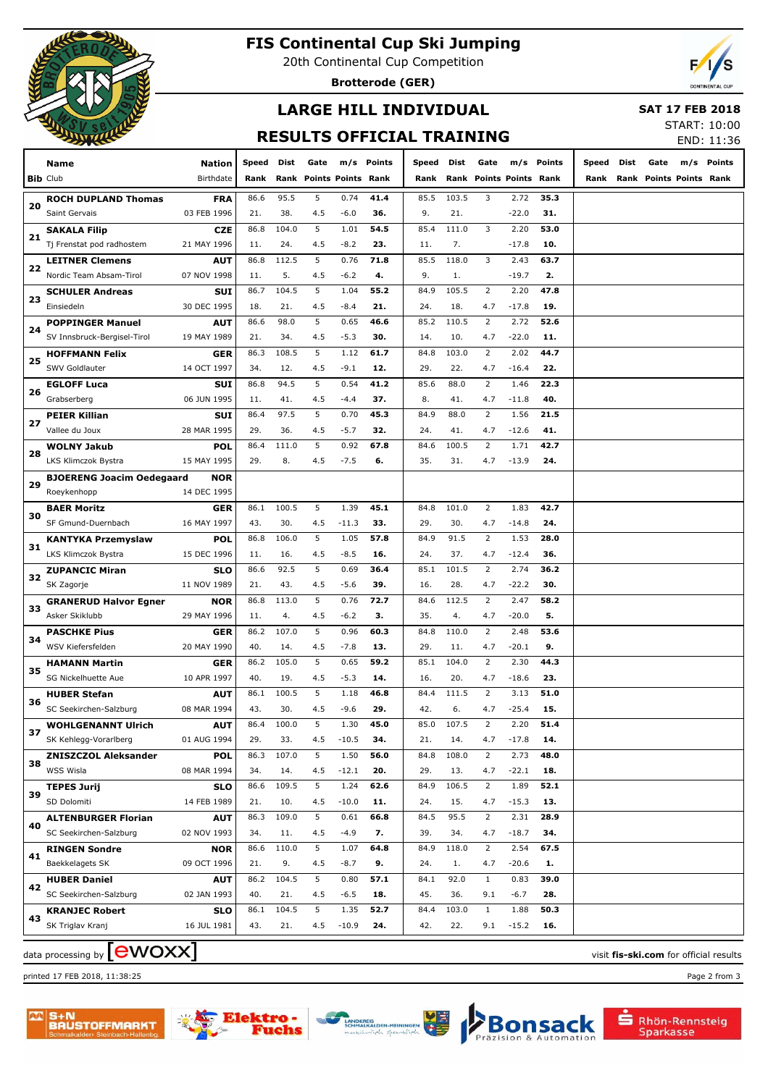

### **FIS Continental Cup Ski Jumping**

20th Continental Cup Competition

**Brotterode (GER)**



# **LARGE HILL INDIVIDUAL**

 **SAT 17 FEB 2018**

### **RESULTS OFFICIAL TRAINING**

START: 10:00 END: 11:36

|    | Name                                | Nation      | Speed | Dist  | Gate                           | m/s     | Points | Speed | Dist  | Gate           |                         | m/s Points | Speed | Dist | Gate |                         | m/s Points                             |
|----|-------------------------------------|-------------|-------|-------|--------------------------------|---------|--------|-------|-------|----------------|-------------------------|------------|-------|------|------|-------------------------|----------------------------------------|
|    | <b>Bib Club</b>                     | Birthdate   | Rank  |       | <b>Rank Points Points Rank</b> |         |        | Rank  |       |                | Rank Points Points Rank |            | Rank  |      |      | Rank Points Points Rank |                                        |
|    |                                     |             |       |       |                                |         |        |       |       |                |                         |            |       |      |      |                         |                                        |
| 20 | <b>ROCH DUPLAND Thomas</b>          | <b>FRA</b>  | 86.6  | 95.5  | 5                              | 0.74    | 41.4   | 85.5  | 103.5 | 3              | 2.72                    | 35.3       |       |      |      |                         |                                        |
|    | Saint Gervais                       | 03 FEB 1996 | 21.   | 38.   | 4.5                            | $-6.0$  | 36.    | 9.    | 21.   |                | -22.0                   | 31.        |       |      |      |                         |                                        |
| 21 | <b>SAKALA Filip</b>                 | <b>CZE</b>  | 86.8  | 104.0 | 5                              | 1.01    | 54.5   | 85.4  | 111.0 | 3              | 2.20                    | 53.0       |       |      |      |                         |                                        |
|    | Tj Frenstat pod radhostem           | 21 MAY 1996 | 11.   | 24.   | 4.5                            | $-8.2$  | 23.    | 11.   | 7.    |                | $-17.8$                 | 10.        |       |      |      |                         |                                        |
|    | <b>LEITNER Clemens</b>              | <b>AUT</b>  | 86.8  | 112.5 | 5                              | 0.76    | 71.8   | 85.5  | 118.0 | 3              | 2.43                    | 63.7       |       |      |      |                         |                                        |
| 22 | Nordic Team Absam-Tirol             | 07 NOV 1998 | 11.   | 5.    | 4.5                            | $-6.2$  | 4.     | 9.    | 1.    |                | $-19.7$                 | 2.         |       |      |      |                         |                                        |
|    | <b>SCHULER Andreas</b>              | SUI         | 86.7  | 104.5 | 5                              | 1.04    | 55.2   | 84.9  | 105.5 | $\overline{2}$ | 2.20                    | 47.8       |       |      |      |                         |                                        |
| 23 | Einsiedeln                          | 30 DEC 1995 | 18.   | 21.   | 4.5                            | $-8.4$  | 21.    | 24.   | 18.   | 4.7            | $-17.8$                 | 19.        |       |      |      |                         |                                        |
|    | <b>POPPINGER Manuel</b>             | AUT         | 86.6  | 98.0  | 5                              | 0.65    | 46.6   | 85.2  | 110.5 | 2              | 2.72                    | 52.6       |       |      |      |                         |                                        |
| 24 | SV Innsbruck-Bergisel-Tirol         | 19 MAY 1989 | 21.   | 34.   | 4.5                            | $-5.3$  | 30.    | 14.   | 10.   | 4.7            | $-22.0$                 | 11.        |       |      |      |                         |                                        |
|    | <b>HOFFMANN Felix</b>               | GER         | 86.3  | 108.5 | 5                              | 1.12    | 61.7   | 84.8  | 103.0 | 2              | 2.02                    | 44.7       |       |      |      |                         |                                        |
| 25 | SWV Goldlauter                      | 14 OCT 1997 | 34.   | 12.   | 4.5                            | $-9.1$  | 12.    | 29.   | 22.   | 4.7            | $-16.4$                 | 22.        |       |      |      |                         |                                        |
|    |                                     |             | 86.8  | 94.5  | 5                              | 0.54    | 41.2   | 85.6  | 88.0  | 2              | 1.46                    | 22.3       |       |      |      |                         |                                        |
| 26 | <b>EGLOFF Luca</b>                  | SUI         |       |       |                                |         |        |       |       |                |                         |            |       |      |      |                         |                                        |
|    | Grabserberg                         | 06 JUN 1995 | 11.   | 41.   | 4.5                            | $-4.4$  | 37.    | 8.    | 41.   | 4.7            | $-11.8$                 | 40.        |       |      |      |                         |                                        |
| 27 | <b>PEIER Killian</b>                | <b>SUI</b>  | 86.4  | 97.5  | 5                              | 0.70    | 45.3   | 84.9  | 88.0  | 2              | 1.56                    | 21.5       |       |      |      |                         |                                        |
|    | Vallee du Joux                      | 28 MAR 1995 | 29.   | 36.   | 4.5                            | $-5.7$  | 32.    | 24.   | 41.   | 4.7            | $-12.6$                 | 41.        |       |      |      |                         |                                        |
| 28 | <b>WOLNY Jakub</b>                  | <b>POL</b>  | 86.4  | 111.0 | 5                              | 0.92    | 67.8   | 84.6  | 100.5 | $\overline{2}$ | 1.71                    | 42.7       |       |      |      |                         |                                        |
|    | LKS Klimczok Bystra                 | 15 MAY 1995 | 29.   | 8.    | 4.5                            | $-7.5$  | 6.     | 35.   | 31.   | 4.7            | $-13.9$                 | 24.        |       |      |      |                         |                                        |
| 29 | <b>BJOERENG Joacim Oedegaard</b>    | <b>NOR</b>  |       |       |                                |         |        |       |       |                |                         |            |       |      |      |                         |                                        |
|    | Roeykenhopp                         | 14 DEC 1995 |       |       |                                |         |        |       |       |                |                         |            |       |      |      |                         |                                        |
|    | <b>BAER Moritz</b>                  | GER         | 86.1  | 100.5 | 5                              | 1.39    | 45.1   | 84.8  | 101.0 | $\overline{2}$ | 1.83                    | 42.7       |       |      |      |                         |                                        |
| 30 | SF Gmund-Duernbach                  | 16 MAY 1997 | 43.   | 30.   | 4.5                            | $-11.3$ | 33.    | 29.   | 30.   | 4.7            | $-14.8$                 | 24.        |       |      |      |                         |                                        |
|    | <b>KANTYKA Przemyslaw</b>           | <b>POL</b>  | 86.8  | 106.0 | 5                              | 1.05    | 57.8   | 84.9  | 91.5  | 2              | 1.53                    | 28.0       |       |      |      |                         |                                        |
| 31 | LKS Klimczok Bystra                 | 15 DEC 1996 | 11.   | 16.   | 4.5                            | $-8.5$  | 16.    | 24.   | 37.   | 4.7            | $-12.4$                 | 36.        |       |      |      |                         |                                        |
|    | <b>ZUPANCIC Miran</b>               | SLO         | 86.6  | 92.5  | 5                              | 0.69    | 36.4   | 85.1  | 101.5 | 2              | 2.74                    | 36.2       |       |      |      |                         |                                        |
| 32 | SK Zagorje                          | 11 NOV 1989 | 21.   | 43.   | 4.5                            | $-5.6$  | 39.    | 16.   | 28.   | 4.7            | $-22.2$                 | 30.        |       |      |      |                         |                                        |
|    | <b>GRANERUD Halvor Egner</b>        | <b>NOR</b>  | 86.8  | 113.0 | 5                              | 0.76    | 72.7   | 84.6  | 112.5 | 2              | 2.47                    | 58.2       |       |      |      |                         |                                        |
| 33 | Asker Skiklubb                      | 29 MAY 1996 | 11.   | 4.    | 4.5                            | $-6.2$  | з.     | 35.   | 4.    | 4.7            | $-20.0$                 | 5.         |       |      |      |                         |                                        |
|    | <b>PASCHKE Pius</b>                 | GER         | 86.2  | 107.0 | 5                              | 0.96    | 60.3   | 84.8  | 110.0 | 2              | 2.48                    | 53.6       |       |      |      |                         |                                        |
| 34 | WSV Kiefersfelden                   | 20 MAY 1990 | 40.   | 14.   | 4.5                            | $-7.8$  | 13.    | 29.   | 11.   | 4.7            | $-20.1$                 | 9.         |       |      |      |                         |                                        |
|    |                                     | GER         | 86.2  | 105.0 | 5                              | 0.65    | 59.2   | 85.1  | 104.0 | 2              | 2.30                    | 44.3       |       |      |      |                         |                                        |
| 35 | <b>HAMANN Martin</b>                |             | 40.   | 19.   |                                | $-5.3$  | 14.    | 16.   | 20.   | 4.7            | $-18.6$                 | 23.        |       |      |      |                         |                                        |
|    | SG Nickelhuette Aue                 | 10 APR 1997 |       |       | 4.5                            |         |        |       |       |                |                         |            |       |      |      |                         |                                        |
| 36 | <b>HUBER Stefan</b>                 | <b>AUT</b>  | 86.1  | 100.5 | 5                              | 1.18    | 46.8   | 84.4  | 111.5 | 2              | 3.13                    | 51.0       |       |      |      |                         |                                        |
|    | SC Seekirchen-Salzburg              | 08 MAR 1994 | 43.   | 30.   | 4.5                            | $-9.6$  | 29.    | 42.   | 6.    | 4.7            | $-25.4$                 | 15.        |       |      |      |                         |                                        |
| 37 | <b>WOHLGENANNT Ulrich</b>           | AUT         | 86.4  | 100.0 | 5                              | 1.30    | 45.0   | 85.0  | 107.5 | 2              | 2.20                    | 51.4       |       |      |      |                         |                                        |
|    | SK Kehlegg-Vorarlberg               | 01 AUG 1994 | 29.   | 33.   | 4.5                            | $-10.5$ | 34.    | 21.   | 14.   | 4.7            | $-17.8$                 | 14.        |       |      |      |                         |                                        |
| 38 | <b>ZNISZCZOL Aleksander</b>         | <b>POL</b>  | 86.3  | 107.0 | 5                              | 1.50    | 56.0   | 84.8  | 108.0 | $\overline{2}$ | 2.73                    | 48.0       |       |      |      |                         |                                        |
|    | WSS Wisla                           | 08 MAR 1994 | 34.   | 14.   | 4.5                            | $-12.1$ | 20.    | 29.   | 13.   | 4.7            | $-22.1$                 | 18.        |       |      |      |                         |                                        |
| 39 | <b>TEPES Jurij</b>                  | <b>SLO</b>  | 86.6  | 109.5 | 5                              | 1.24    | 62.6   | 84.9  | 106.5 | $\overline{2}$ | 1.89                    | 52.1       |       |      |      |                         |                                        |
|    | SD Dolomiti                         | 14 FEB 1989 | 21.   | 10.   | 4.5                            | $-10.0$ | 11.    | 24.   | 15.   | 4.7            | $-15.3$                 | 13.        |       |      |      |                         |                                        |
| 40 | <b>ALTENBURGER Florian</b>          | <b>AUT</b>  | 86.3  | 109.0 | 5                              | 0.61    | 66.8   | 84.5  | 95.5  | $\overline{2}$ | 2.31                    | 28.9       |       |      |      |                         |                                        |
|    | SC Seekirchen-Salzburg              | 02 NOV 1993 | 34.   | 11.   | 4.5                            | $-4.9$  | 7.     | 39.   | 34.   | 4.7            | $-18.7$                 | 34.        |       |      |      |                         |                                        |
|    | <b>RINGEN Sondre</b>                | <b>NOR</b>  | 86.6  | 110.0 | 5                              | 1.07    | 64.8   | 84.9  | 118.0 | $\overline{2}$ | 2.54                    | 67.5       |       |      |      |                         |                                        |
| 41 | Baekkelagets SK                     | 09 OCT 1996 | 21.   | 9.    | 4.5                            | $-8.7$  | 9.     | 24.   | 1.    | 4.7            | $-20.6$                 | 1.         |       |      |      |                         |                                        |
|    | <b>HUBER Daniel</b>                 | <b>AUT</b>  | 86.2  | 104.5 | 5                              | 0.80    | 57.1   | 84.1  | 92.0  | $\mathbf{1}$   | 0.83                    | 39.0       |       |      |      |                         |                                        |
| 42 | SC Seekirchen-Salzburg              | 02 JAN 1993 | 40.   | 21.   | 4.5                            | $-6.5$  | 18.    | 45.   | 36.   | 9.1            | $-6.7$                  | 28.        |       |      |      |                         |                                        |
|    | <b>KRANJEC Robert</b>               | <b>SLO</b>  | 86.1  | 104.5 | 5                              | 1.35    | 52.7   | 84.4  | 103.0 | $\mathbf{1}$   | 1.88                    | 50.3       |       |      |      |                         |                                        |
| 43 | SK Triglav Kranj                    | 16 JUL 1981 | 43.   | 21.   | 4.5                            | $-10.9$ | 24.    | 42.   | 22.   | 9.1            | $-15.2$                 | 16.        |       |      |      |                         |                                        |
|    |                                     |             |       |       |                                |         |        |       |       |                |                         |            |       |      |      |                         |                                        |
|    | data processing by $[\text{ewoxx}]$ |             |       |       |                                |         |        |       |       |                |                         |            |       |      |      |                         | visit fis-ski.com for official results |

printed 17 FEB 2018, 11:38:25 Page 2 from 3



Bon



S+N<br>BAUSTOFFMARKT